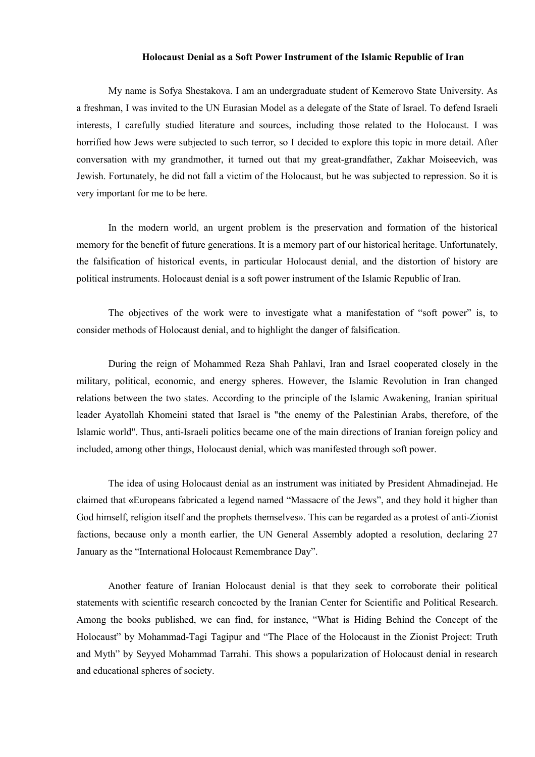## **Holocaust Denial as a Soft Power Instrument of the Islamic Republic of Iran**

My name is Sofya Shestakova. I am an undergraduate student of Kemerovo State University. As a freshman, I was invited to the UN Eurasian Model as a delegate of the State of Israel. To defend Israeli interests, I carefully studied literature and sources, including those related to the Holocaust. I was horrified how Jews were subjected to such terror, so I decided to explore this topic in more detail. After conversation with my grandmother, it turned out that my great-grandfather, Zakhar Moiseevich, was Jewish. Fortunately, he did not fall a victim of the Holocaust, but he was subjected to repression. So it is very important for me to be here.

In the modern world, an urgent problem is the preservation and formation of the historical memory for the benefit of future generations. It is a memory part of our historical heritage. Unfortunately, the falsification of historical events, in particular Holocaust denial, and the distortion of history are political instruments. Holocaust denial is a soft power instrument of the Islamic Republic of Iran.

The objectives of the work were to investigate what a manifestation of "soft power" is, to consider methods of Holocaust denial, and to highlight the danger of falsification.

During the reign of Mohammed Reza Shah Pahlavi, Iran and Israel cooperated closely in the military, political, economic, and energy spheres. However, the Islamic Revolution in Iran changed relations between the two states. According to the principle of the Islamic Awakening, Iranian spiritual leader Ayatollah Khomeini stated that Israel is "the enemy of the Palestinian Arabs, therefore, of the Islamic world". Thus, anti-Israeli politics became one of the main directions of Iranian foreign policy and included, among other things, Holocaust denial, which was manifested through soft power.<br>The idea of using Holocaust denial as an instrument was initiated by President Ahmadinejad. He

claimed that **«**Europeans fabricated a legend named "Massacre of the Jews", and they hold it higher than God himself, religion itself and the prophets themselves». This can be regarded as a protest of anti-Zionist factions, because only a month earlier, the UN General Assembly adopted a resolution, declaring 27 January as the "International Holocaust Remembrance Day".

Another feature of Iranian Holocaust denial is that they seek to corroborate their political statements with scientific research concocted by the Iranian Center for Scientific and Political Research. Among the books published, we can find, for instance, "What is Hiding Behind the Concept of the Holocaust" by Mohammad-Tagi Tagipur and "The Place of the Holocaust in the Zionist Project: Truth and Myth" by Seyyed Mohammad Tarrahi. This shows a popularization of Holocaust denial in research and educational spheres of society.